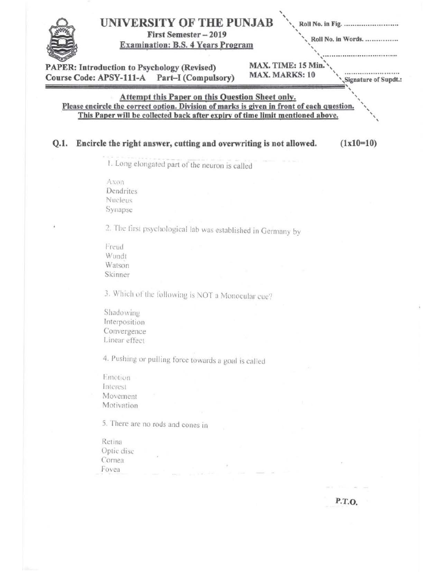|      | UNIVERSITY OF THE PUNJAB<br>First Semester - 2019<br><b>Examination: B.S. 4 Years Program</b>                                                       | Roll No. in Fig.<br>Roll No. in Words. |
|------|-----------------------------------------------------------------------------------------------------------------------------------------------------|----------------------------------------|
|      | MAX. TIME: 15 Min.<br><b>PAPER: Introduction to Psychology (Revised)</b><br>MAX. MARKS: 10<br>Course Code: APSY-111-A Part-I (Compulsory)           | Signature of Supdt.:                   |
|      | <b>Attempt this Paper on this Question Sheet only.</b><br>Please encircle the correct option. Division of marks is given in front of each question. |                                        |
|      | This Paper will be collected back after expiry of time limit mentioned above.                                                                       |                                        |
| Q.1. | Encircle the right answer, cutting and overwriting is not allowed.                                                                                  | $(1x10=10)$                            |
|      | 1. Long elongated part of the neuron is called                                                                                                      |                                        |
|      |                                                                                                                                                     |                                        |
|      | Axon<br>Dendrites                                                                                                                                   |                                        |
|      | Nucleus                                                                                                                                             |                                        |
|      | Synapse                                                                                                                                             |                                        |
|      | 2. The first psychological lab was established in Germany by                                                                                        |                                        |
|      | Freud                                                                                                                                               |                                        |
|      | Wundt                                                                                                                                               |                                        |
|      | Watson                                                                                                                                              |                                        |
|      | Skinner                                                                                                                                             |                                        |
|      | 3. Which of the following is NOT a Monocular cue?                                                                                                   |                                        |
|      | Shadowing                                                                                                                                           |                                        |
|      | Interposition                                                                                                                                       |                                        |
|      | Convergence                                                                                                                                         |                                        |
|      | Linear effect                                                                                                                                       |                                        |
|      | 4. Pushing or pulling force towards a goal is called                                                                                                |                                        |
|      | Emotion                                                                                                                                             |                                        |
|      | Interest                                                                                                                                            |                                        |
|      | Movement                                                                                                                                            |                                        |
|      | Motivation                                                                                                                                          |                                        |
|      | 5. There are no rods and cones in                                                                                                                   |                                        |
|      | Retina                                                                                                                                              |                                        |
|      | Optic disc                                                                                                                                          |                                        |
|      | Cornea                                                                                                                                              |                                        |
|      | Fovea                                                                                                                                               |                                        |
|      |                                                                                                                                                     |                                        |
|      |                                                                                                                                                     |                                        |
|      |                                                                                                                                                     | P.T.O.                                 |
|      |                                                                                                                                                     |                                        |
|      |                                                                                                                                                     |                                        |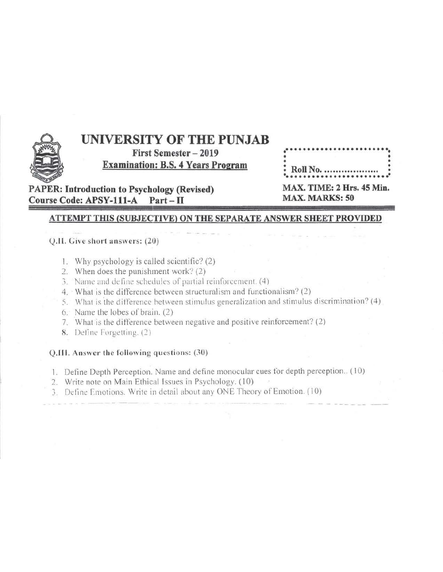

# UNIVERSITY OF THE PUNJAB

**First Semester - 2019 Examination: B.S. 4 Years Program** 

|  |  |  |  |  |  |  | • Roll No. |  |  |  |  |
|--|--|--|--|--|--|--|------------|--|--|--|--|
|  |  |  |  |  |  |  |            |  |  |  |  |

**PAPER: Introduction to Psychology (Revised) Course Code: APSY-111-A**  $Part - II$ 

| MAX. TIME: 2 Hrs. 45 Min |  |  |
|--------------------------|--|--|
| <b>MAX. MARKS: 50</b>    |  |  |

## **ATTEMPT THIS (SUBJECTIVE) ON THE SEPARATE ANSWER SHEET PROVIDED**

## Q.II. Give short answers: (20)

- 1. Why psychology is called scientific? (2)
- 2. When does the punishment work? (2)
- 3. Name and define schedules of partial reinforcement. (4)
- 4. What is the difference between structuralism and functionalism? (2)
- 5. What is the difference between stimulus generalization and stimulus discrimination? (4)
- 6. Name the lobes of brain. (2)
- 7. What is the difference between negative and positive reinforcement? (2)
- 8. Define Forgetting. (2)

## Q.III. Answer the following questions: (30)

- 1. Define Depth Perception. Name and define monocular cues for depth perception.. (10)
- 2. Write note on Main Ethical Issues in Psychology. (10)
- 3. Define Emotions. Write in detail about any ONE Theory of Emotion. (10)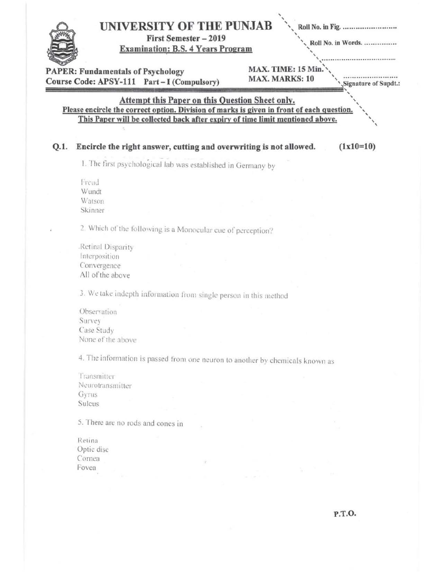

Retina Optic disc Cornea Fovea

P.T.O.